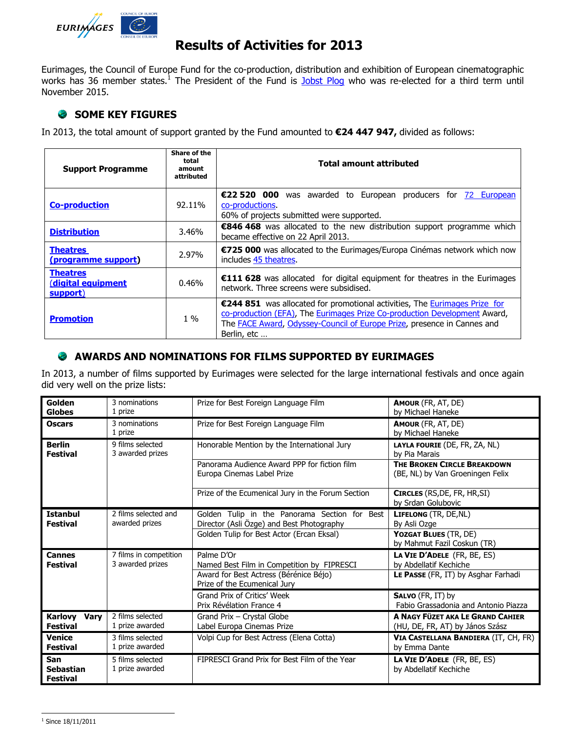

# **Results of Activities for 2013**

Eurimages, the Council of Europe Fund for the co-production, distribution and exhibition of European cinematographic works has 36 member states.<sup>1</sup> The President of the Fund is [Jobst Plog](http://www.coe.int/t/dg4/eurimages/About/President_fr.asp) who was re-elected for a third term until November 2015.

## **SOME KEY FIGURES**

In 2013, the total amount of support granted by the Fund amounted to **€24 447 947,** divided as follows:

| <b>Support Programme</b>                          | Share of the<br>total<br>amount<br>attributed | <b>Total amount attributed</b>                                                                                                                                                                                                                            |  |
|---------------------------------------------------|-----------------------------------------------|-----------------------------------------------------------------------------------------------------------------------------------------------------------------------------------------------------------------------------------------------------------|--|
| <b>Co-production</b>                              | 92.11%                                        | €22 520 000 was awarded to European producers for 72 European<br>co-productions.<br>60% of projects submitted were supported.                                                                                                                             |  |
| <b>Distribution</b>                               | 3.46%                                         | €846 468 was allocated to the new distribution support programme which<br>became effective on 22 April 2013.                                                                                                                                              |  |
| <b>Theatres</b><br>(programme support)            | 2.97%                                         | €725 000 was allocated to the Eurimages/Europa Cinémas network which now<br>includes 45 theatres.                                                                                                                                                         |  |
| <b>Theatres</b><br>(digital equipment<br>support) | 0.46%                                         | €111 628 was allocated for digital equipment for theatres in the Eurimages<br>network. Three screens were subsidised.                                                                                                                                     |  |
| <b>Promotion</b>                                  | $1\%$                                         | €244 851 was allocated for promotional activities, The Eurimages Prize for<br>co-production (EFA), The Eurimages Prize Co-production Development Award,<br>The <b>FACE Award</b> , Odyssey-Council of Europe Prize, presence in Cannes and<br>Berlin, etc |  |

### **AWARDS AND NOMINATIONS FOR FILMS SUPPORTED BY EURIMAGES**

In 2013, a number of films supported by Eurimages were selected for the large international festivals and once again did very well on the prize lists:

| Golden<br><b>Globes</b>                          | 3 nominations<br>1 prize                   | Prize for Best Foreign Language Film                                                               | AMOUR (FR, AT, DE)<br>by Michael Haneke                                                      |
|--------------------------------------------------|--------------------------------------------|----------------------------------------------------------------------------------------------------|----------------------------------------------------------------------------------------------|
| <b>Oscars</b>                                    | 3 nominations<br>1 prize                   | Prize for Best Foreign Language Film                                                               | <b>AMOUR</b> (FR, AT, DE)<br>by Michael Haneke                                               |
| <b>Berlin</b><br><b>Festival</b>                 | 9 films selected<br>3 awarded prizes       | Honorable Mention by the International Jury                                                        | LAYLA FOURIE (DE, FR, ZA, NL)<br>by Pia Marais                                               |
|                                                  |                                            | Panorama Audience Award PPP for fiction film<br>Europa Cinemas Label Prize                         | THE BROKEN CIRCLE BREAKDOWN<br>(BE, NL) by Van Groeningen Felix                              |
|                                                  |                                            | Prize of the Ecumenical Jury in the Forum Section                                                  | <b>CIRCLES</b> (RS, DE, FR, HR, SI)<br>by Srdan Golubovic                                    |
| <b>Istanbul</b><br><b>Festival</b>               | 2 films selected and<br>awarded prizes     | Golden Tulip in the Panorama Section for Best<br>Director (Asli Özge) and Best Photography         | LIFELONG (TR, DE, NL)<br>By Asli Ozge                                                        |
|                                                  |                                            | Golden Tulip for Best Actor (Ercan Eksal)                                                          | YOZGAT BLUES (TR, DE)<br>by Mahmut Fazil Coskun (TR)                                         |
| <b>Cannes</b><br><b>Festival</b>                 | 7 films in competition<br>3 awarded prizes | Palme D'Or<br>Named Best Film in Competition by FIPRESCI<br>Award for Best Actress (Bérénice Béjo) | LA VIE D'ADELE (FR, BE, ES)<br>by Abdellatif Kechiche<br>LE PASSE (FR, IT) by Asghar Farhadi |
|                                                  |                                            | Prize of the Ecumenical Jury<br>Grand Prix of Critics' Week<br>Prix Révélation France 4            | SALVO (FR, IT) by<br>Fabio Grassadonia and Antonio Piazza                                    |
| <b>Karlovy</b><br><b>Vary</b><br><b>Festival</b> | 2 films selected<br>1 prize awarded        | Grand Prix - Crystal Globe<br>Label Europa Cinemas Prize                                           | A NAGY FÜZET AKA LE GRAND CAHIER<br>(HU, DE, FR, AT) by János Szász                          |
| <b>Venice</b><br><b>Festival</b>                 | 3 films selected<br>1 prize awarded        | Volpi Cup for Best Actress (Elena Cotta)                                                           | VIA CASTELLANA BANDIERA (IT, CH, FR)<br>by Emma Dante                                        |
| San<br><b>Sebastian</b><br><b>Festival</b>       | 5 films selected<br>1 prize awarded        | FIPRESCI Grand Prix for Best Film of the Year                                                      | LA VIE D'ADELE (FR, BE, ES)<br>by Abdellatif Kechiche                                        |